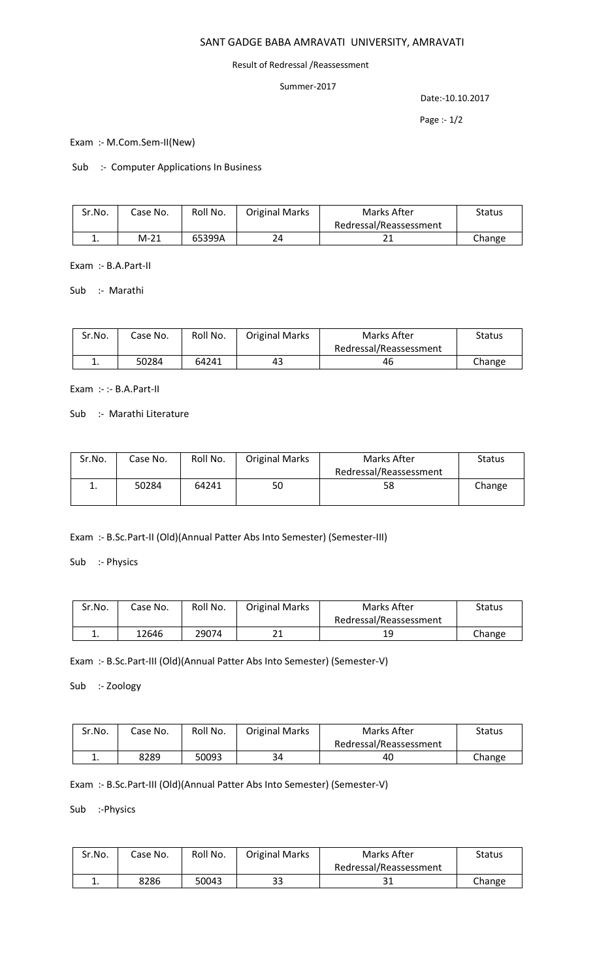# SANT GADGE BABA AMRAVATI UNIVERSITY, AMRAVATI

#### Result of Redressal /Reassessment

### Summer-2017

Date:-10.10.2017

Page :- 1/2

Exam :- M.Com.Sem-II(New)

Sub :- Computer Applications In Business

| Sr.No. | Case No. | Roll No. | <b>Original Marks</b> | Marks After            | <b>Status</b> |
|--------|----------|----------|-----------------------|------------------------|---------------|
|        |          |          |                       | Redressal/Reassessment |               |
|        | $M-21$   | 65399A   |                       |                        | Change        |

Exam :- B.A.Part-II

Sub :- Marathi

| Sr.No.   | Case No. | Roll No. | <b>Original Marks</b> | Marks After            | Status |
|----------|----------|----------|-----------------------|------------------------|--------|
|          |          |          |                       | Redressal/Reassessment |        |
| <b>.</b> | 50284    | 64241    | 43                    | 46                     | Change |

Exam :- :- B.A.Part-II

Sub :- Marathi Literature

| Sr.No. | Case No. | Roll No. | <b>Original Marks</b> | Marks After            | <b>Status</b> |
|--------|----------|----------|-----------------------|------------------------|---------------|
|        |          |          |                       | Redressal/Reassessment |               |
|        | 50284    | 64241    | 50                    | 58                     | Change        |
|        |          |          |                       |                        |               |

Exam :- B.Sc.Part-II (Old)(Annual Patter Abs Into Semester) (Semester-III)

Sub :- Physics

| Sr.No.   | Case No. | Roll No. | <b>Original Marks</b> | Marks After            | <b>Status</b> |
|----------|----------|----------|-----------------------|------------------------|---------------|
|          |          |          |                       | Redressal/Reassessment |               |
| <b>.</b> | 12646    | 29074    | า 1<br>ᅀᅩ             | 19                     | Change        |

Exam :- B.Sc.Part-III (Old)(Annual Patter Abs Into Semester) (Semester-V)

Sub :- Zoology

| Sr.No. | Case No. | Roll No. | <b>Original Marks</b> | Marks After            | Status |
|--------|----------|----------|-----------------------|------------------------|--------|
|        |          |          |                       | Redressal/Reassessment |        |
| ∸.     | 8289     | 50093    | 34                    | 40                     | Change |

Exam :- B.Sc.Part-III (Old)(Annual Patter Abs Into Semester) (Semester-V)

Sub :-Physics

| Sr.No. | Case No. | Roll No. | <b>Original Marks</b> | Marks After            | Status |
|--------|----------|----------|-----------------------|------------------------|--------|
|        |          |          |                       | Redressal/Reassessment |        |
| . .    | 8286     | 50043    | 33                    | 31                     | Change |